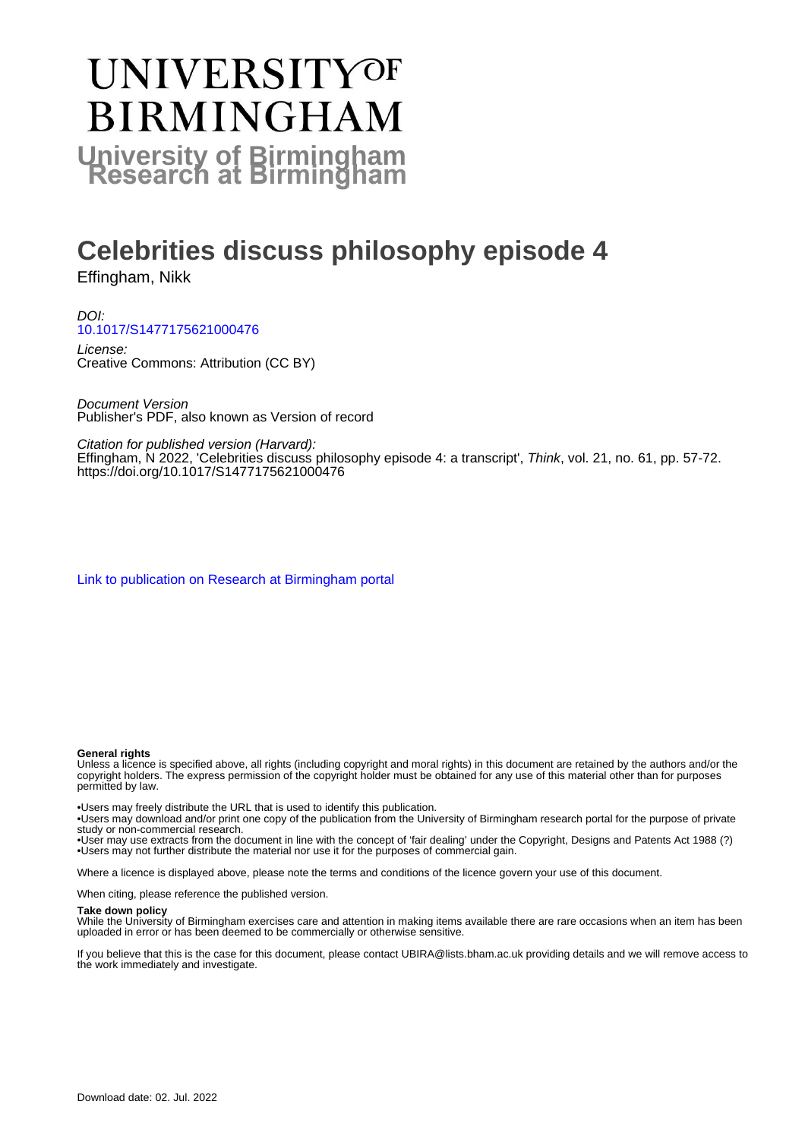# **UNIVERSITYOF BIRMINGHAM University of Birmingham**

# **Celebrities discuss philosophy episode 4**

Effingham, Nikk

DOI: [10.1017/S1477175621000476](https://doi.org/10.1017/S1477175621000476)

License: Creative Commons: Attribution (CC BY)

Document Version Publisher's PDF, also known as Version of record

Citation for published version (Harvard):

Effingham, N 2022, 'Celebrities discuss philosophy episode 4: a transcript', Think, vol. 21, no. 61, pp. 57-72. <https://doi.org/10.1017/S1477175621000476>

[Link to publication on Research at Birmingham portal](https://birmingham.elsevierpure.com/en/publications/3f4a227d-043a-47c9-ac7a-3a66adbb0cc8)

### **General rights**

Unless a licence is specified above, all rights (including copyright and moral rights) in this document are retained by the authors and/or the copyright holders. The express permission of the copyright holder must be obtained for any use of this material other than for purposes permitted by law.

• Users may freely distribute the URL that is used to identify this publication.

• Users may download and/or print one copy of the publication from the University of Birmingham research portal for the purpose of private study or non-commercial research.

• User may use extracts from the document in line with the concept of 'fair dealing' under the Copyright, Designs and Patents Act 1988 (?) • Users may not further distribute the material nor use it for the purposes of commercial gain.

Where a licence is displayed above, please note the terms and conditions of the licence govern your use of this document.

When citing, please reference the published version.

#### **Take down policy**

While the University of Birmingham exercises care and attention in making items available there are rare occasions when an item has been uploaded in error or has been deemed to be commercially or otherwise sensitive.

If you believe that this is the case for this document, please contact UBIRA@lists.bham.ac.uk providing details and we will remove access to the work immediately and investigate.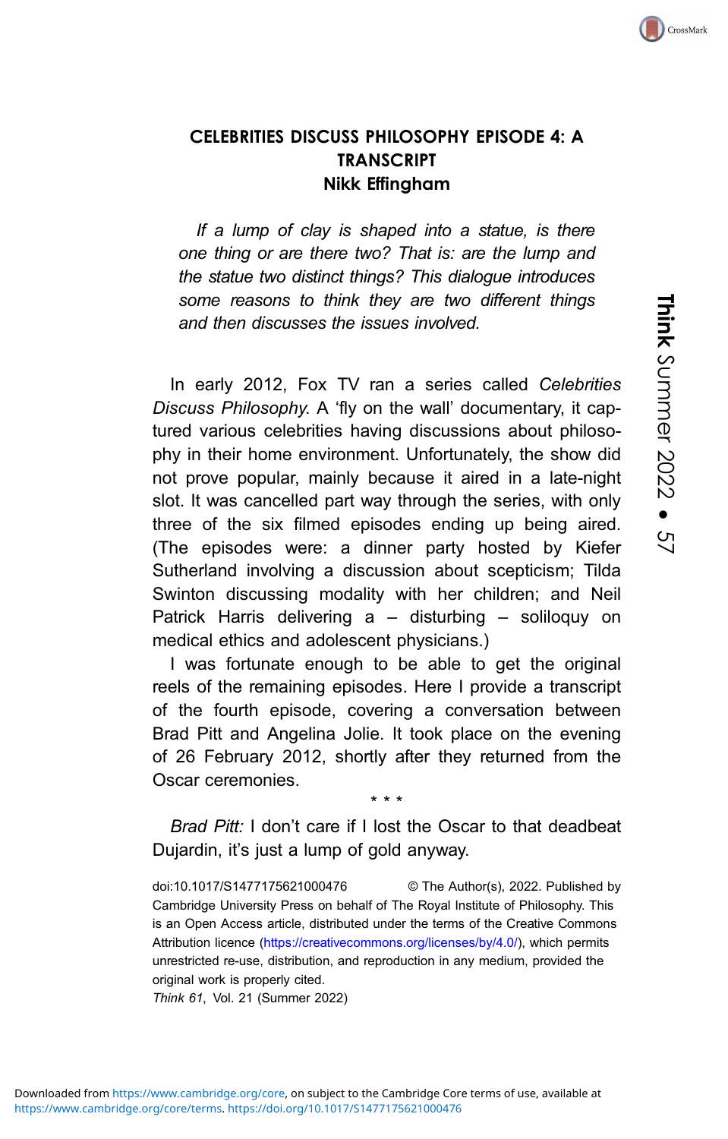Think

Summer

2022

• 57

# CELEBRITIES DISCUSS PHILOSOPHY EPISODE 4: A **TRANSCRIPT Nikk Effingham** Nikk Effingham

If a lump of clay is shaped into a statue, is there one thing or are there two? That is: are the lump and the statue two distinct things? This dialogue introduces some reasons to think they are two different things and then discusses the issues involved.

In early 2012, Fox TV ran a series called Celebrities Discuss Philosophy. A 'fly on the wall' documentary, it captured various celebrities having discussions about philosophy in their home environment. Unfortunately, the show did not prove popular, mainly because it aired in a late-night slot. It was cancelled part way through the series, with only three of the six filmed episodes ending up being aired. (The episodes were: a dinner party hosted by Kiefer Sutherland involving a discussion about scepticism; Tilda Swinton discussing modality with her children; and Neil Patrick Harris delivering a – disturbing – soliloquy on medical ethics and adolescent physicians.)

I was fortunate enough to be able to get the original reels of the remaining episodes. Here I provide a transcript of the fourth episode, covering a conversation between Brad Pitt and Angelina Jolie. It took place on the evening of 26 February 2012, shortly after they returned from the Oscar ceremonies.

\*\*\*

Brad Pitt: I don't care if I lost the Oscar to that deadbeat Dujardin, it's just a lump of gold anyway.

doi:10.1017/S1477175621000476 © The Author(s), 2022. Published by Cambridge University Press on behalf of The Royal Institute of Philosophy. This is an Open Access article, distributed under the terms of the Creative Commons Attribution licence (<https://creativecommons.org/licenses/by/4.0/>), which permits unrestricted re-use, distribution, and reproduction in any medium, provided the original work is properly cited.

Think 61, Vol. 21 (Summer 2022)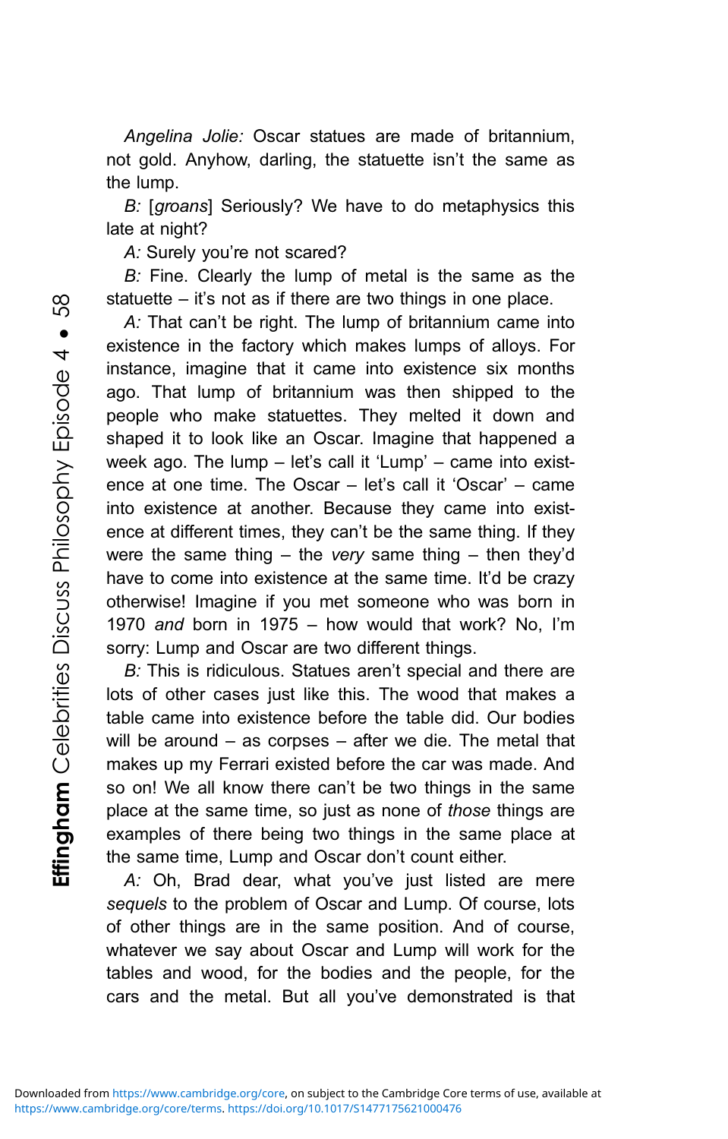Angelina Jolie: Oscar statues are made of britannium, not gold. Anyhow, darling, the statuette isn't the same as the lump.

B: [groans] Seriously? We have to do metaphysics this late at night?

A: Surely you're not scared?

B: Fine. Clearly the lump of metal is the same as the statuette – it's not as if there are two things in one place.

A: That can't be right. The lump of britannium came into existence in the factory which makes lumps of alloys. For instance, imagine that it came into existence six months ago. That lump of britannium was then shipped to the people who make statuettes. They melted it down and shaped it to look like an Oscar. Imagine that happened a week ago. The lump – let's call it 'Lump' – came into existence at one time. The Oscar – let's call it 'Oscar' – came into existence at another. Because they came into existence at different times, they can't be the same thing. If they were the same thing – the very same thing – then they'd have to come into existence at the same time. It'd be crazy otherwise! Imagine if you met someone who was born in 1970 and born in 1975 – how would that work? No, I'm sorry: Lump and Oscar are two different things.

B: This is ridiculous. Statues aren't special and there are lots of other cases just like this. The wood that makes a table came into existence before the table did. Our bodies will be around – as corpses – after we die. The metal that makes up my Ferrari existed before the car was made. And so on! We all know there can't be two things in the same place at the same time, so just as none of those things are examples of there being two things in the same place at the same time, Lump and Oscar don't count either.

A: Oh, Brad dear, what you've just listed are mere sequels to the problem of Oscar and Lump. Of course, lots of other things are in the same position. And of course, whatever we say about Oscar and Lump will work for the tables and wood, for the bodies and the people, for the cars and the metal. But all you've demonstrated is that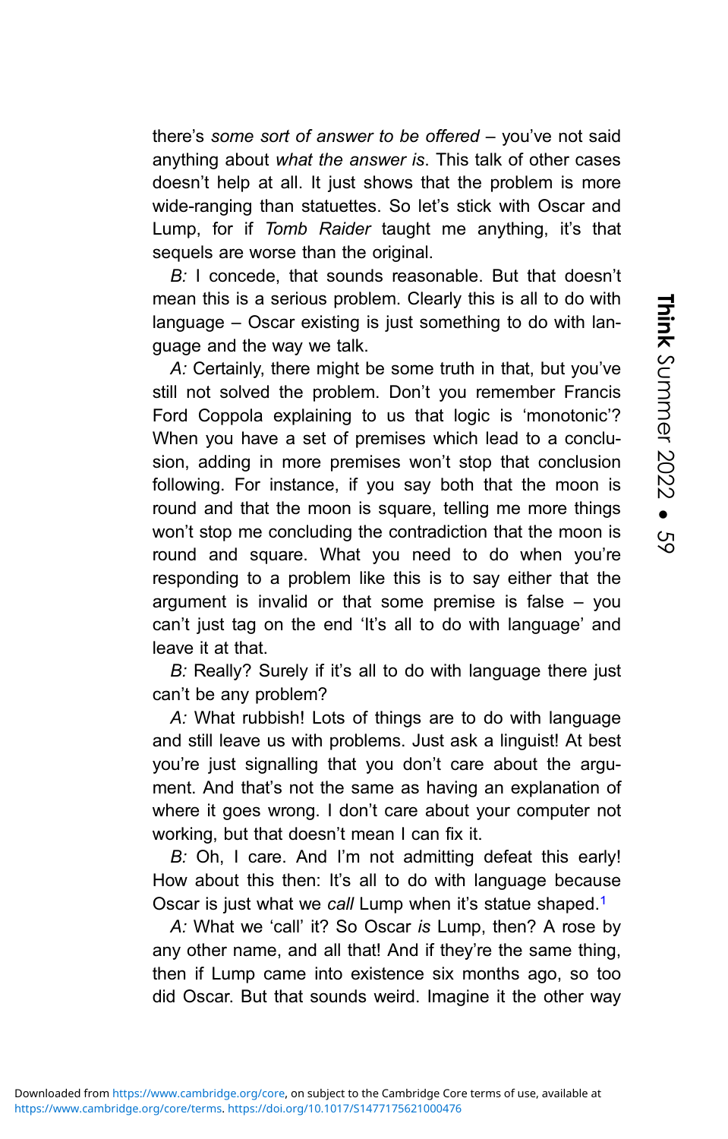there's some sort of answer to be offered – you've not said anything about what the answer is. This talk of other cases doesn't help at all. It just shows that the problem is more wide-ranging than statuettes. So let's stick with Oscar and Lump, for if Tomb Raider taught me anything, it's that sequels are worse than the original.

B: I concede, that sounds reasonable. But that doesn't mean this is a serious problem. Clearly this is all to do with language – Oscar existing is just something to do with language and the way we talk.

A: Certainly, there might be some truth in that, but you've still not solved the problem. Don't you remember Francis Ford Coppola explaining to us that logic is 'monotonic'? When you have a set of premises which lead to a conclusion, adding in more premises won't stop that conclusion following. For instance, if you say both that the moon is round and that the moon is square, telling me more things won't stop me concluding the contradiction that the moon is round and square. What you need to do when you're responding to a problem like this is to say either that the argument is invalid or that some premise is false – you can't just tag on the end 'It's all to do with language' and leave it at that.

B: Really? Surely if it's all to do with language there just can't be any problem?

A: What rubbish! Lots of things are to do with language and still leave us with problems. Just ask a linguist! At best you're just signalling that you don't care about the argument. And that's not the same as having an explanation of where it goes wrong. I don't care about your computer not working, but that doesn't mean I can fix it.

B: Oh, I care. And I'm not admitting defeat this early! How about this then: It's all to do with language because Oscar is just what we call Lump when it's statue shaped.<sup>[1](#page-15-0)</sup>

A: What we 'call' it? So Oscar is Lump, then? A rose by any other name, and all that! And if they're the same thing, then if Lump came into existence six months ago, so too did Oscar. But that sounds weird. Imagine it the other way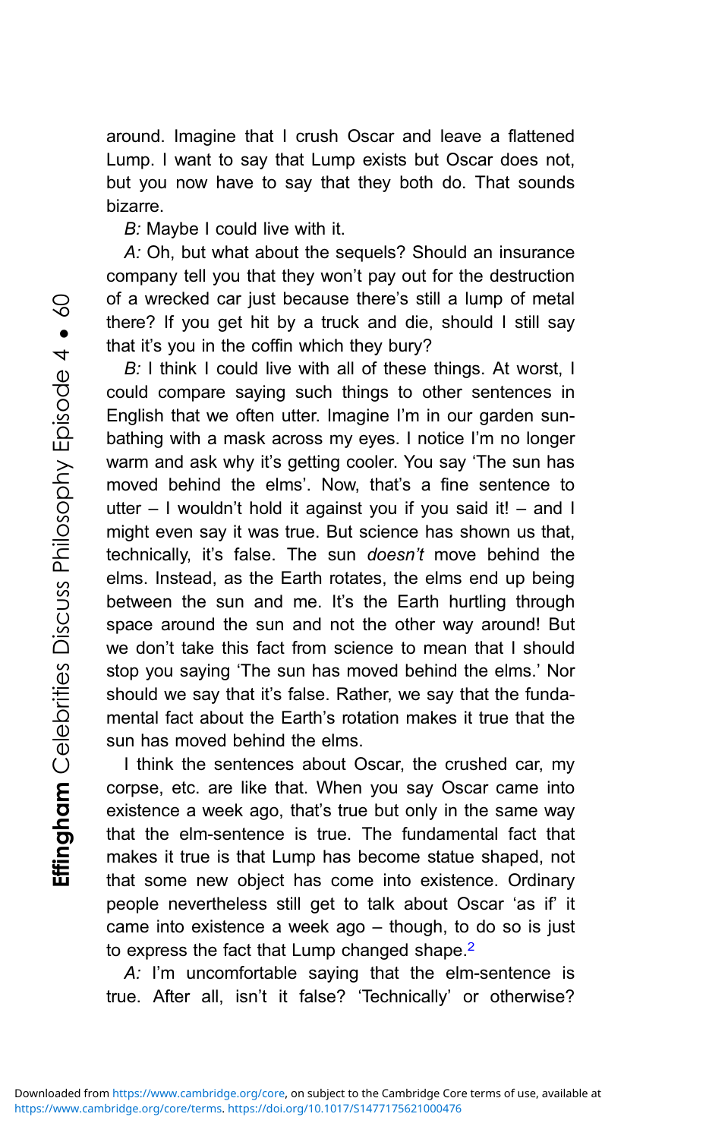around. Imagine that I crush Oscar and leave a flattened Lump. I want to say that Lump exists but Oscar does not, but you now have to say that they both do. That sounds bizarre.

B: Maybe I could live with it.

A: Oh, but what about the sequels? Should an insurance company tell you that they won't pay out for the destruction of a wrecked car just because there's still a lump of metal there? If you get hit by a truck and die, should I still say that it's you in the coffin which they bury?

B: I think I could live with all of these things. At worst, I could compare saying such things to other sentences in English that we often utter. Imagine I'm in our garden sunbathing with a mask across my eyes. I notice I'm no longer warm and ask why it's getting cooler. You say 'The sun has moved behind the elms'. Now, that's a fine sentence to utter – I wouldn't hold it against you if you said it! – and I might even say it was true. But science has shown us that, technically, it's false. The sun doesn't move behind the elms. Instead, as the Earth rotates, the elms end up being between the sun and me. It's the Earth hurtling through space around the sun and not the other way around! But we don't take this fact from science to mean that I should stop you saying 'The sun has moved behind the elms.' Nor should we say that it's false. Rather, we say that the fundamental fact about the Earth's rotation makes it true that the sun has moved behind the elms.

I think the sentences about Oscar, the crushed car, my corpse, etc. are like that. When you say Oscar came into existence a week ago, that's true but only in the same way that the elm-sentence is true. The fundamental fact that makes it true is that Lump has become statue shaped, not that some new object has come into existence. Ordinary people nevertheless still get to talk about Oscar 'as if' it came into existence a week ago – though, to do so is just to express the fact that Lump changed shape.<sup>2</sup>

A: I'm uncomfortable saying that the elm-sentence is true. After all, isn't it false? 'Technically' or otherwise?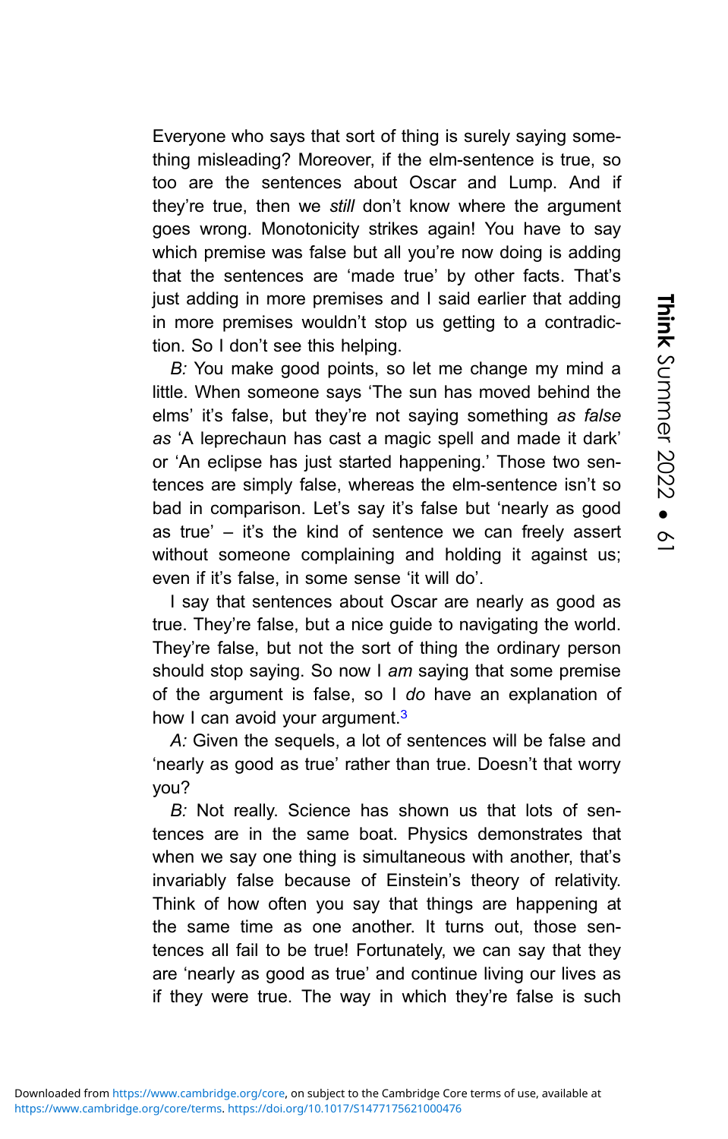Everyone who says that sort of thing is surely saying something misleading? Moreover, if the elm-sentence is true, so too are the sentences about Oscar and Lump. And if they're true, then we still don't know where the argument goes wrong. Monotonicity strikes again! You have to say which premise was false but all you're now doing is adding that the sentences are 'made true' by other facts. That's just adding in more premises and I said earlier that adding in more premises wouldn't stop us getting to a contradiction. So I don't see this helping.

B: You make good points, so let me change my mind a little. When someone says 'The sun has moved behind the elms' it's false, but they're not saying something as false as 'A leprechaun has cast a magic spell and made it dark' or 'An eclipse has just started happening.' Those two sentences are simply false, whereas the elm-sentence isn't so bad in comparison. Let's say it's false but 'nearly as good as true' – it's the kind of sentence we can freely assert without someone complaining and holding it against us; even if it's false, in some sense 'it will do'.

I say that sentences about Oscar are nearly as good as true. They're false, but a nice guide to navigating the world. They're false, but not the sort of thing the ordinary person should stop saying. So now I am saying that some premise of the argument is false, so I do have an explanation of how I can avoid your argument.<sup>3</sup>

A: Given the sequels, a lot of sentences will be false and 'nearly as good as true' rather than true. Doesn't that worry you?

B: Not really. Science has shown us that lots of sentences are in the same boat. Physics demonstrates that when we say one thing is simultaneous with another, that's invariably false because of Einstein's theory of relativity. Think of how often you say that things are happening at the same time as one another. It turns out, those sentences all fail to be true! Fortunately, we can say that they are 'nearly as good as true' and continue living our lives as if they were true. The way in which they're false is such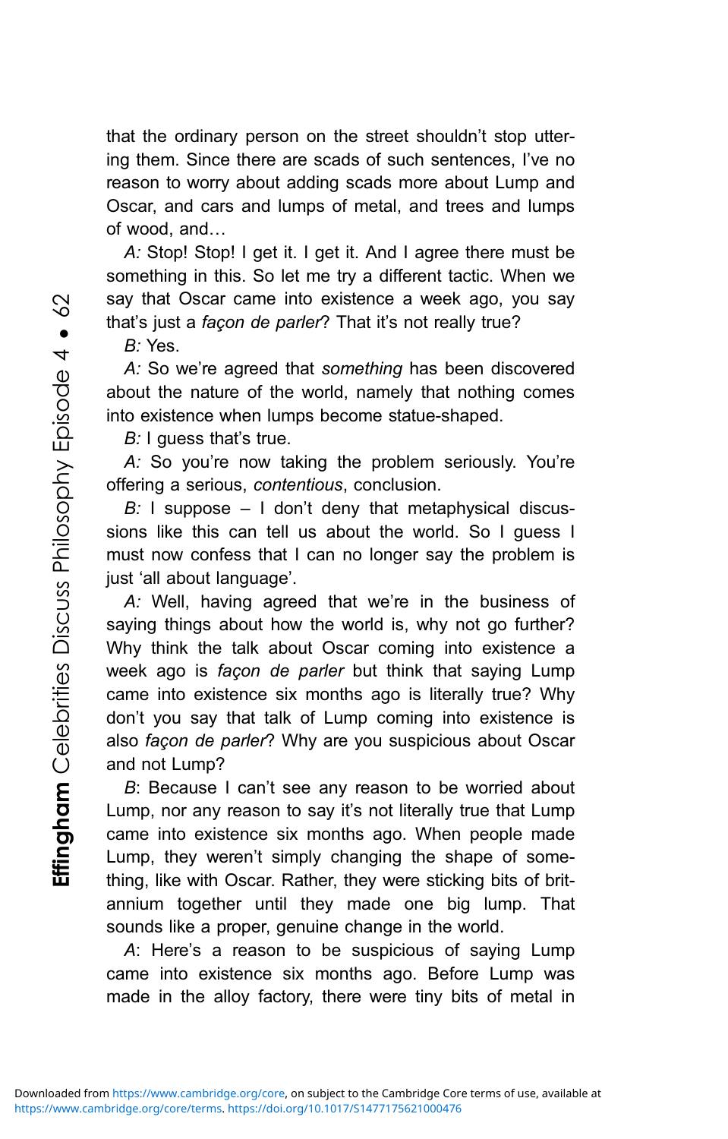that the ordinary person on the street shouldn't stop uttering them. Since there are scads of such sentences, I've no reason to worry about adding scads more about Lump and Oscar, and cars and lumps of metal, and trees and lumps of wood, and…

A: Stop! Stop! I get it. I get it. And I agree there must be something in this. So let me try a different tactic. When we say that Oscar came into existence a week ago, you say that's just a façon de parler? That it's not really true?

 $B \cdot Y$ es.

A: So we're agreed that something has been discovered about the nature of the world, namely that nothing comes into existence when lumps become statue-shaped.

B: I guess that's true.

A: So you're now taking the problem seriously. You're offering a serious, contentious, conclusion.

B: I suppose  $-1$  don't deny that metaphysical discussions like this can tell us about the world. So I guess I must now confess that I can no longer say the problem is just 'all about language'.

A: Well, having agreed that we're in the business of saying things about how the world is, why not go further? Why think the talk about Oscar coming into existence a week ago is façon de parler but think that saying Lump came into existence six months ago is literally true? Why don't you say that talk of Lump coming into existence is also façon de parler? Why are you suspicious about Oscar and not Lump?

B: Because I can't see any reason to be worried about Lump, nor any reason to say it's not literally true that Lump came into existence six months ago. When people made Lump, they weren't simply changing the shape of something, like with Oscar. Rather, they were sticking bits of britannium together until they made one big lump. That sounds like a proper, genuine change in the world.

A: Here's a reason to be suspicious of saying Lump came into existence six months ago. Before Lump was made in the alloy factory, there were tiny bits of metal in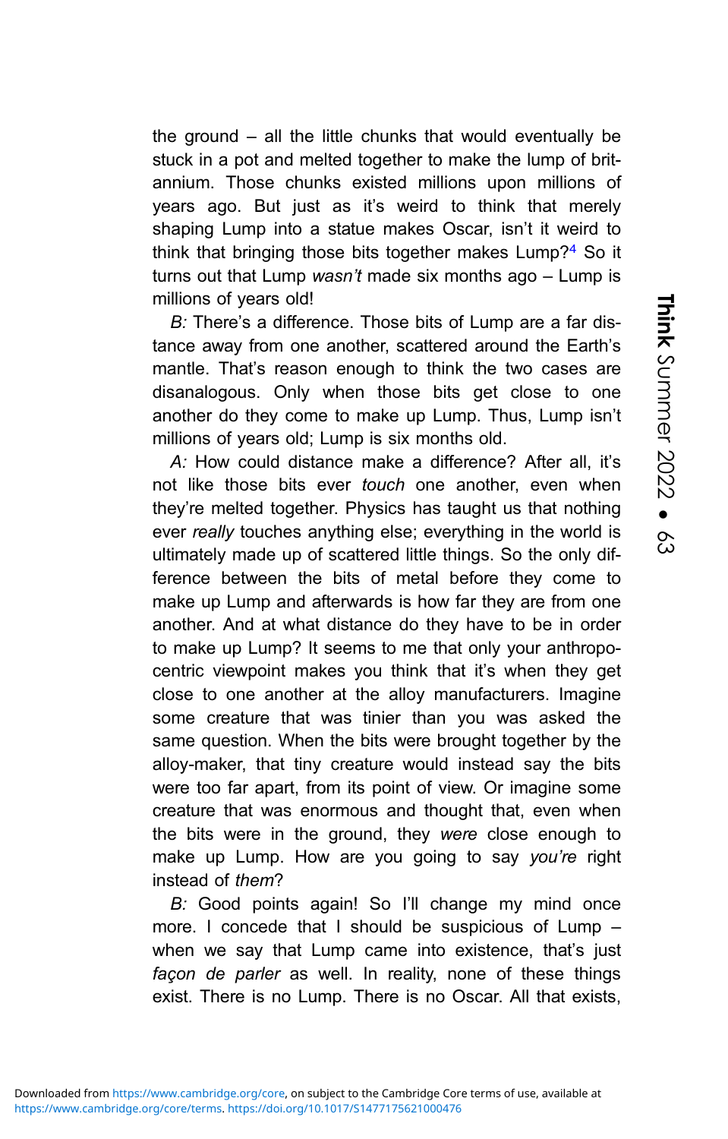the ground – all the little chunks that would eventually be stuck in a pot and melted together to make the lump of britannium. Those chunks existed millions upon millions of years ago. But just as it's weird to think that merely shaping Lump into a statue makes Oscar, isn't it weird to think that bringing those bits together makes Lump?<sup>[4](#page-16-0)</sup> So it turns out that Lump wasn't made six months ago – Lump is millions of years old!

B: There's a difference. Those bits of Lump are a far distance away from one another, scattered around the Earth's mantle. That's reason enough to think the two cases are disanalogous. Only when those bits get close to one another do they come to make up Lump. Thus, Lump isn't millions of years old; Lump is six months old.

A: How could distance make a difference? After all, it's not like those bits ever touch one another, even when they're melted together. Physics has taught us that nothing ever really touches anything else; everything in the world is ultimately made up of scattered little things. So the only difference between the bits of metal before they come to make up Lump and afterwards is how far they are from one another. And at what distance do they have to be in order to make up Lump? It seems to me that only your anthropocentric viewpoint makes you think that it's when they get close to one another at the alloy manufacturers. Imagine some creature that was tinier than you was asked the same question. When the bits were brought together by the alloy-maker, that tiny creature would instead say the bits were too far apart, from its point of view. Or imagine some creature that was enormous and thought that, even when the bits were in the ground, they were close enough to make up Lump. How are you going to say you're right instead of them?

B: Good points again! So I'll change my mind once more. I concede that I should be suspicious of Lump – when we say that Lump came into existence, that's just façon de parler as well. In reality, none of these things exist. There is no Lump. There is no Oscar. All that exists,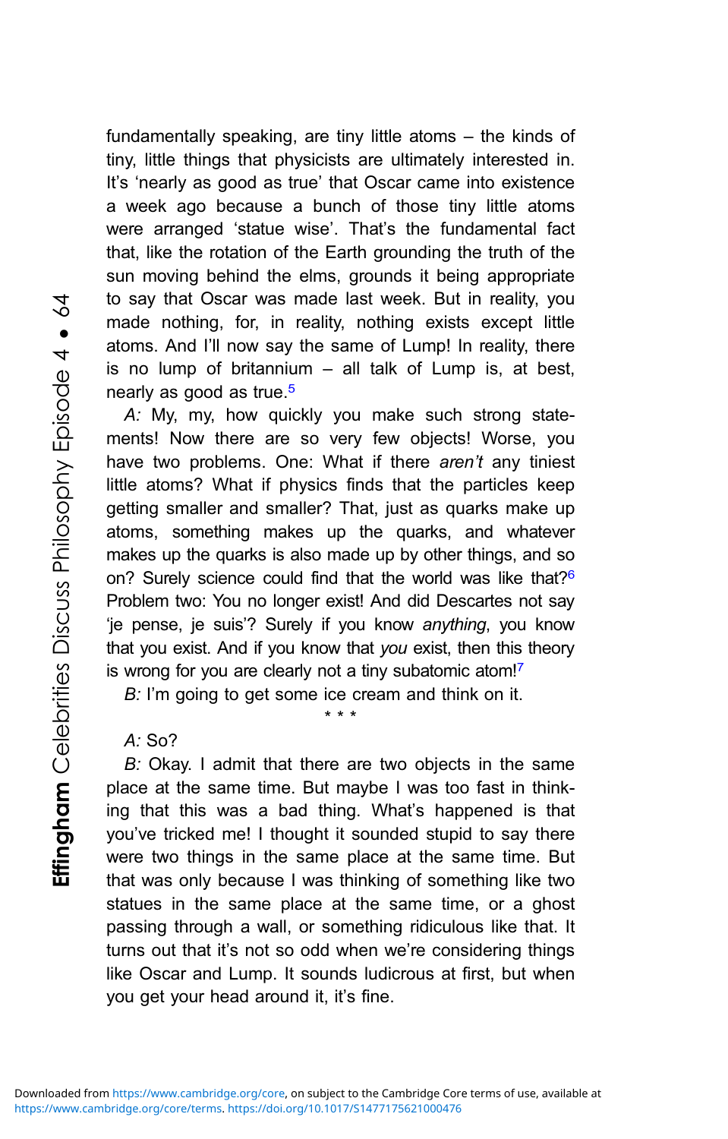fundamentally speaking, are tiny little atoms – the kinds of tiny, little things that physicists are ultimately interested in. It's 'nearly as good as true' that Oscar came into existence a week ago because a bunch of those tiny little atoms were arranged 'statue wise'. That's the fundamental fact that, like the rotation of the Earth grounding the truth of the sun moving behind the elms, grounds it being appropriate to say that Oscar was made last week. But in reality, you made nothing, for, in reality, nothing exists except little atoms. And I'll now say the same of Lump! In reality, there is no lump of britannium  $-$  all talk of Lump is, at best, nearly as good as true.<sup>[5](#page-16-0)</sup>

A: My, my, how quickly you make such strong statements! Now there are so very few objects! Worse, you have two problems. One: What if there aren't any tiniest little atoms? What if physics finds that the particles keep getting smaller and smaller? That, just as quarks make up atoms, something makes up the quarks, and whatever makes up the quarks is also made up by other things, and so on? Surely science could find that the world was like that?<sup>6</sup> Problem two: You no longer exist! And did Descartes not say 'je pense, je suis'? Surely if you know anything, you know that you exist. And if you know that you exist, then this theory is wrong for you are clearly not a tiny subatomic atom!<sup>7</sup>

B: I'm going to get some ice cream and think on it.

\*\*\*

 $A: So?$ 

B: Okay. I admit that there are two objects in the same place at the same time. But maybe I was too fast in thinking that this was a bad thing. What's happened is that you've tricked me! I thought it sounded stupid to say there were two things in the same place at the same time. But that was only because I was thinking of something like two statues in the same place at the same time, or a ghost passing through a wall, or something ridiculous like that. It turns out that it's not so odd when we're considering things like Oscar and Lump. It sounds ludicrous at first, but when you get your head around it, it's fine.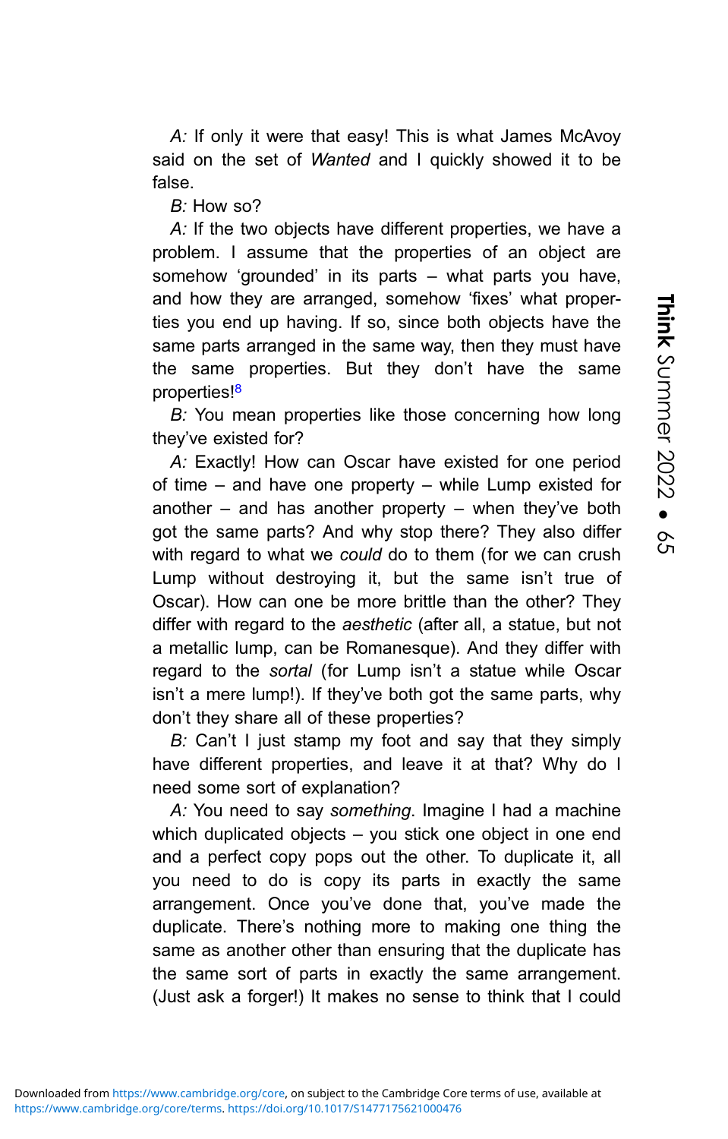A: If only it were that easy! This is what James McAvoy said on the set of Wanted and I quickly showed it to be false.

 $B \cdot$  How so?

A: If the two objects have different properties, we have a problem. I assume that the properties of an object are somehow 'grounded' in its parts – what parts you have, and how they are arranged, somehow 'fixes' what properties you end up having. If so, since both objects have the same parts arranged in the same way, then they must have the same properties. But they don't have the same properties!<sup>8</sup>

B: You mean properties like those concerning how long they've existed for?

A: Exactly! How can Oscar have existed for one period of time – and have one property – while Lump existed for another – and has another property – when they've both got the same parts? And why stop there? They also differ with regard to what we could do to them (for we can crush Lump without destroying it, but the same isn't true of Oscar). How can one be more brittle than the other? They differ with regard to the aesthetic (after all, a statue, but not a metallic lump, can be Romanesque). And they differ with regard to the sortal (for Lump isn't a statue while Oscar isn't a mere lump!). If they've both got the same parts, why don't they share all of these properties?

B: Can't I just stamp my foot and say that they simply have different properties, and leave it at that? Why do I need some sort of explanation?

A: You need to say something. Imagine I had a machine which duplicated objects – you stick one object in one end and a perfect copy pops out the other. To duplicate it, all you need to do is copy its parts in exactly the same arrangement. Once you've done that, you've made the duplicate. There's nothing more to making one thing the same as another other than ensuring that the duplicate has the same sort of parts in exactly the same arrangement. (Just ask a forger!) It makes no sense to think that I could

<https://www.cambridge.org/core/terms>.<https://doi.org/10.1017/S1477175621000476> Downloaded from<https://www.cambridge.org/core>, on subject to the Cambridge Core terms of use, available at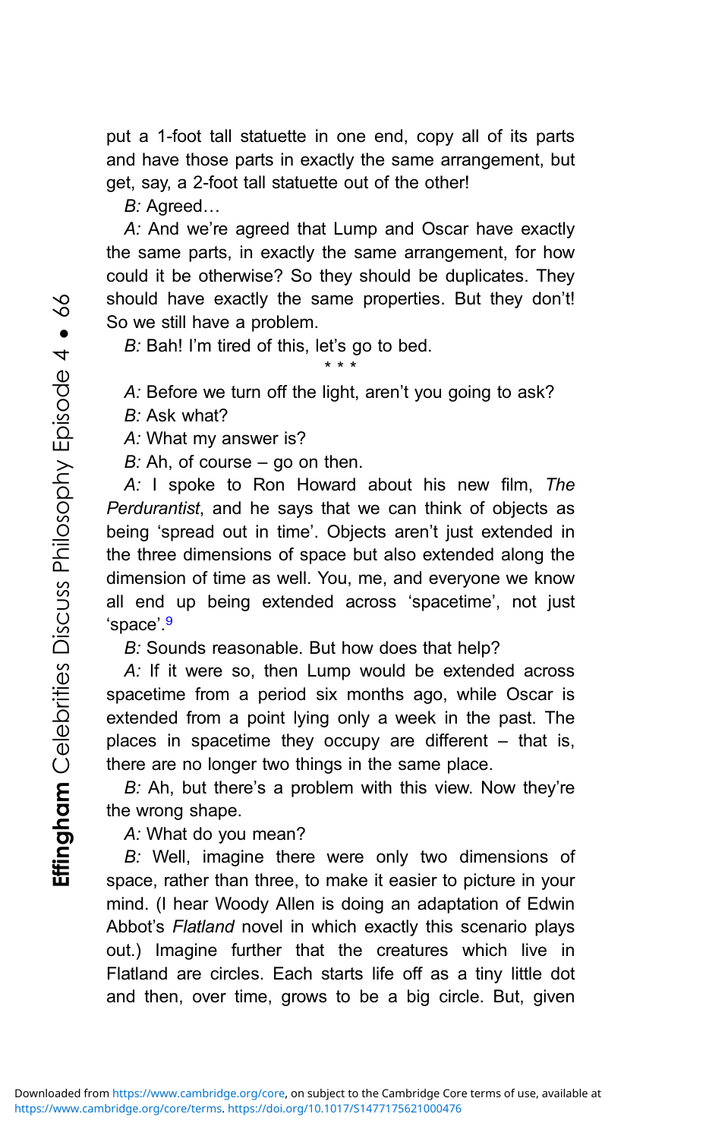put a 1-foot tall statuette in one end, copy all of its parts and have those parts in exactly the same arrangement, but get, say, a 2-foot tall statuette out of the other!

B: Agreed…

A: And we're agreed that Lump and Oscar have exactly the same parts, in exactly the same arrangement, for how could it be otherwise? So they should be duplicates. They should have exactly the same properties. But they don't! So we still have a problem.

B: Bah! I'm tired of this, let's go to bed.

\*\*\*

A: Before we turn off the light, aren't you going to ask?

B: Ask what?

A: What my answer is?

 $B$ : Ah, of course – go on then.

A: I spoke to Ron Howard about his new film, The Perdurantist, and he says that we can think of objects as being 'spread out in time'. Objects aren't just extended in the three dimensions of space but also extended along the dimension of time as well. You, me, and everyone we know all end up being extended across 'spacetime', not just 'space'. [9](#page-16-0)

B: Sounds reasonable. But how does that help?

A: If it were so, then Lump would be extended across spacetime from a period six months ago, while Oscar is extended from a point lying only a week in the past. The places in spacetime they occupy are different – that is, there are no longer two things in the same place.

B: Ah, but there's a problem with this view. Now they're the wrong shape.

A: What do you mean?

B: Well, imagine there were only two dimensions of space, rather than three, to make it easier to picture in your mind. (I hear Woody Allen is doing an adaptation of Edwin Abbot's Flatland novel in which exactly this scenario plays out.) Imagine further that the creatures which live in Flatland are circles. Each starts life off as a tiny little dot and then, over time, grows to be a big circle. But, given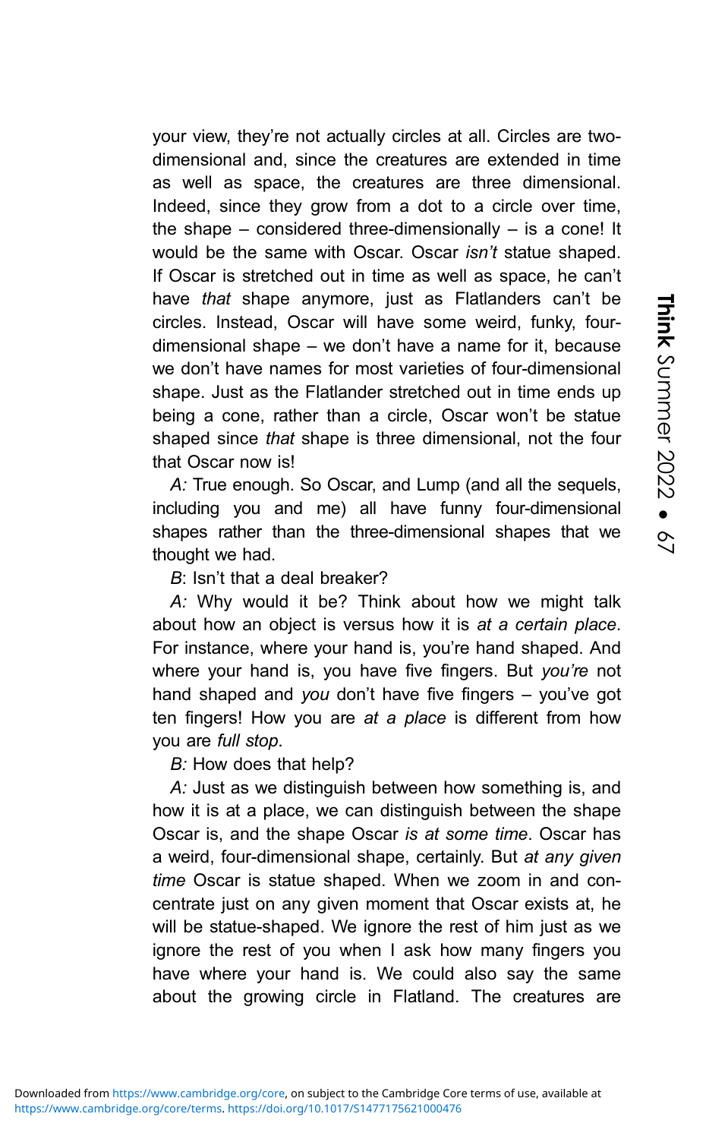your view, they're not actually circles at all. Circles are twodimensional and, since the creatures are extended in time as well as space, the creatures are three dimensional. Indeed, since they grow from a dot to a circle over time, the shape  $-$  considered three-dimensionally  $-$  is a cone! It would be the same with Oscar. Oscar *isn't* statue shaped. If Oscar is stretched out in time as well as space, he can't have *that* shape anymore, just as Flatlanders can't be circles. Instead, Oscar will have some weird, funky, fourdimensional shape – we don't have a name for it, because we don't have names for most varieties of four-dimensional shape. Just as the Flatlander stretched out in time ends up being a cone, rather than a circle, Oscar won't be statue shaped since that shape is three dimensional, not the four that Oscar now is!

A: True enough. So Oscar, and Lump (and all the sequels, including you and me) all have funny four-dimensional shapes rather than the three-dimensional shapes that we thought we had.

B: Isn't that a deal breaker?

A: Why would it be? Think about how we might talk about how an object is versus how it is at a certain place. For instance, where your hand is, you're hand shaped. And where your hand is, you have five fingers. But you're not hand shaped and you don't have five fingers – you've got ten fingers! How you are at a place is different from how you are full stop.

B: How does that help?

A: Just as we distinguish between how something is, and how it is at a place, we can distinguish between the shape Oscar is, and the shape Oscar is at some time. Oscar has a weird, four-dimensional shape, certainly. But at any given time Oscar is statue shaped. When we zoom in and concentrate just on any given moment that Oscar exists at, he will be statue-shaped. We ignore the rest of him just as we ignore the rest of you when I ask how many fingers you have where your hand is. We could also say the same about the growing circle in Flatland. The creatures are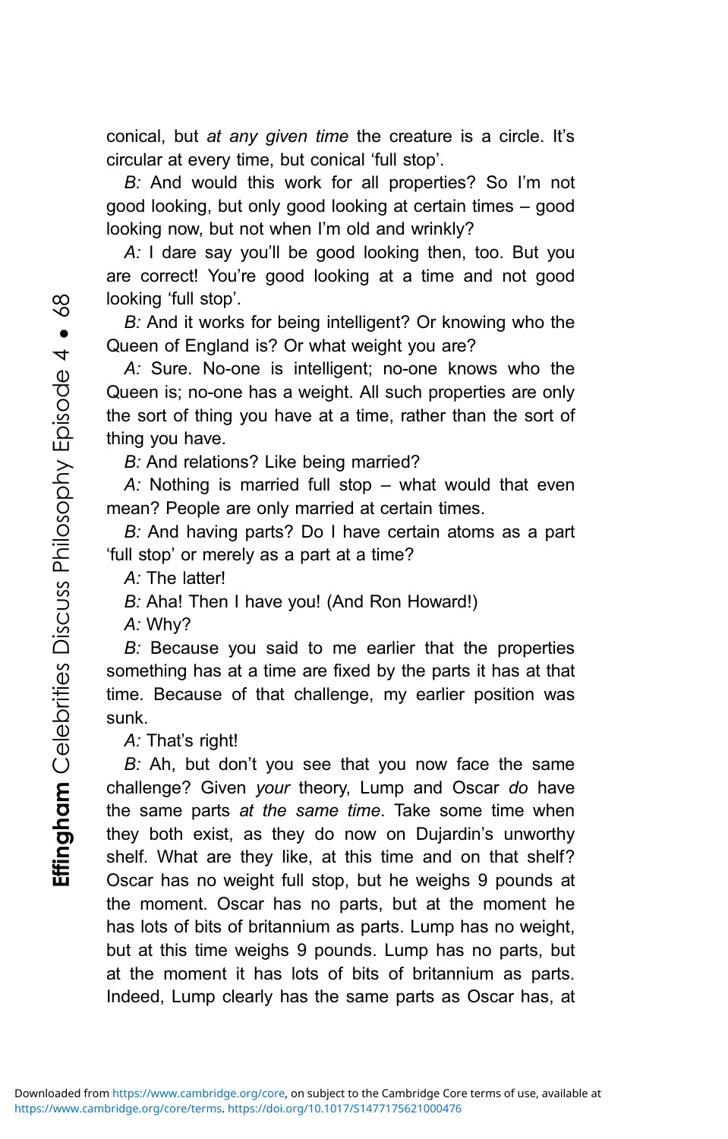conical, but at any given time the creature is a circle. It's circular at every time, but conical 'full stop'.

B: And would this work for all properties? So I'm not good looking, but only good looking at certain times – good looking now, but not when I'm old and wrinkly?

A: I dare say you'll be good looking then, too. But you are correct! You're good looking at a time and not good looking 'full stop'.

B: And it works for being intelligent? Or knowing who the Queen of England is? Or what weight you are?

A: Sure. No-one is intelligent; no-one knows who the Queen is; no-one has a weight. All such properties are only the sort of thing you have at a time, rather than the sort of thing you have.

B: And relations? Like being married?

A: Nothing is married full stop  $-$  what would that even mean? People are only married at certain times.

B: And having parts? Do I have certain atoms as a part 'full stop' or merely as a part at a time?

 $A \cdot$  The latter!

B: Aha! Then I have you! (And Ron Howard!)

A: Why?

B: Because you said to me earlier that the properties something has at a time are fixed by the parts it has at that time. Because of that challenge, my earlier position was sunk.

A: That's right!

B: Ah, but don't you see that you now face the same challenge? Given your theory, Lump and Oscar do have the same parts at the same time. Take some time when they both exist, as they do now on Dujardin's unworthy shelf. What are they like, at this time and on that shelf? Oscar has no weight full stop, but he weighs 9 pounds at the moment. Oscar has no parts, but at the moment he has lots of bits of britannium as parts. Lump has no weight, but at this time weighs 9 pounds. Lump has no parts, but at the moment it has lots of bits of britannium as parts. Indeed, Lump clearly has the same parts as Oscar has, at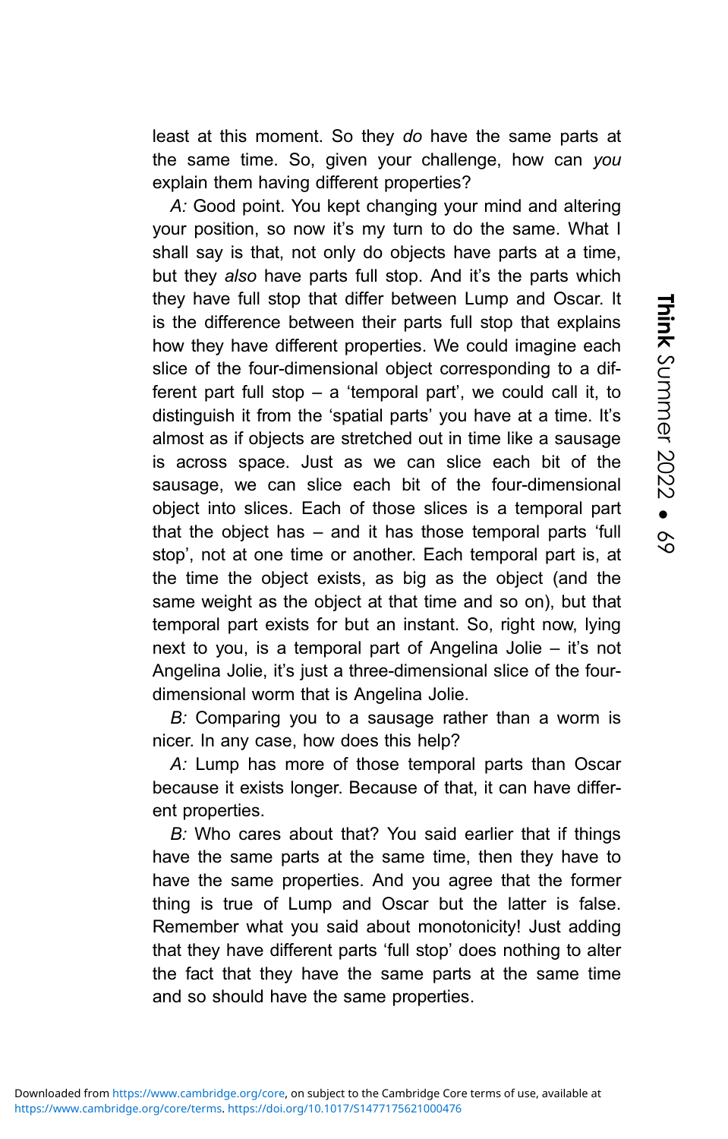least at this moment. So they do have the same parts at the same time. So, given your challenge, how can you explain them having different properties?

A: Good point. You kept changing your mind and altering your position, so now it's my turn to do the same. What I shall say is that, not only do objects have parts at a time, but they also have parts full stop. And it's the parts which they have full stop that differ between Lump and Oscar. It is the difference between their parts full stop that explains how they have different properties. We could imagine each slice of the four-dimensional object corresponding to a different part full stop – a 'temporal part', we could call it, to distinguish it from the 'spatial parts' you have at a time. It's almost as if objects are stretched out in time like a sausage is across space. Just as we can slice each bit of the sausage, we can slice each bit of the four-dimensional object into slices. Each of those slices is a temporal part that the object has – and it has those temporal parts 'full stop', not at one time or another. Each temporal part is, at the time the object exists, as big as the object (and the same weight as the object at that time and so on), but that temporal part exists for but an instant. So, right now, lying next to you, is a temporal part of Angelina Jolie – it's not Angelina Jolie, it's just a three-dimensional slice of the fourdimensional worm that is Angelina Jolie.

B: Comparing you to a sausage rather than a worm is nicer. In any case, how does this help?

A: Lump has more of those temporal parts than Oscar because it exists longer. Because of that, it can have different properties.

B: Who cares about that? You said earlier that if things have the same parts at the same time, then they have to have the same properties. And you agree that the former thing is true of Lump and Oscar but the latter is false. Remember what you said about monotonicity! Just adding that they have different parts 'full stop' does nothing to alter the fact that they have the same parts at the same time and so should have the same properties.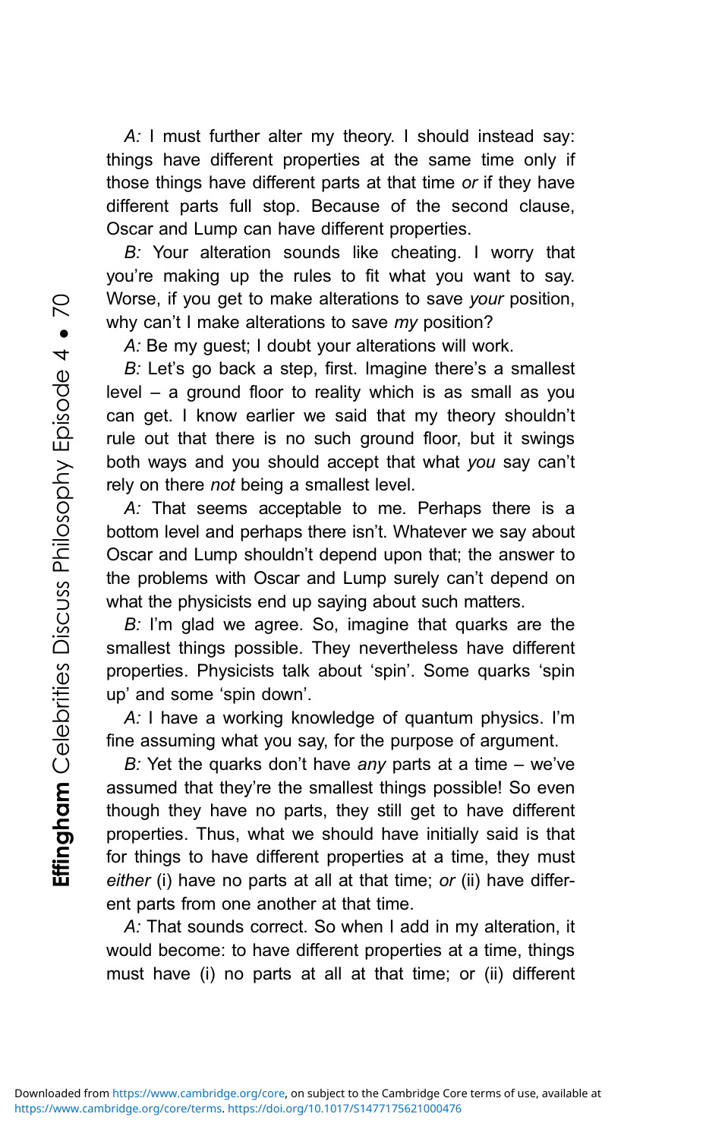A: I must further alter my theory. I should instead say: things have different properties at the same time only if those things have different parts at that time or if they have different parts full stop. Because of the second clause, Oscar and Lump can have different properties.

B: Your alteration sounds like cheating. I worry that you're making up the rules to fit what you want to say. Worse, if you get to make alterations to save your position, why can't I make alterations to save my position?

A: Be my guest; I doubt your alterations will work.

B: Let's go back a step, first. Imagine there's a smallest level – a ground floor to reality which is as small as you can get. I know earlier we said that my theory shouldn't rule out that there is no such ground floor, but it swings both ways and you should accept that what you say can't rely on there not being a smallest level.

A: That seems acceptable to me. Perhaps there is a bottom level and perhaps there isn't. Whatever we say about Oscar and Lump shouldn't depend upon that; the answer to the problems with Oscar and Lump surely can't depend on what the physicists end up saying about such matters.

B: I'm glad we agree. So, imagine that quarks are the smallest things possible. They nevertheless have different properties. Physicists talk about 'spin'. Some quarks 'spin up' and some 'spin down'.

A: I have a working knowledge of quantum physics. I'm fine assuming what you say, for the purpose of argument.

B: Yet the quarks don't have any parts at a time  $-$  we've assumed that they're the smallest things possible! So even though they have no parts, they still get to have different properties. Thus, what we should have initially said is that for things to have different properties at a time, they must either (i) have no parts at all at that time; or (ii) have different parts from one another at that time.

A: That sounds correct. So when I add in my alteration, it would become: to have different properties at a time, things must have (i) no parts at all at that time; or (ii) different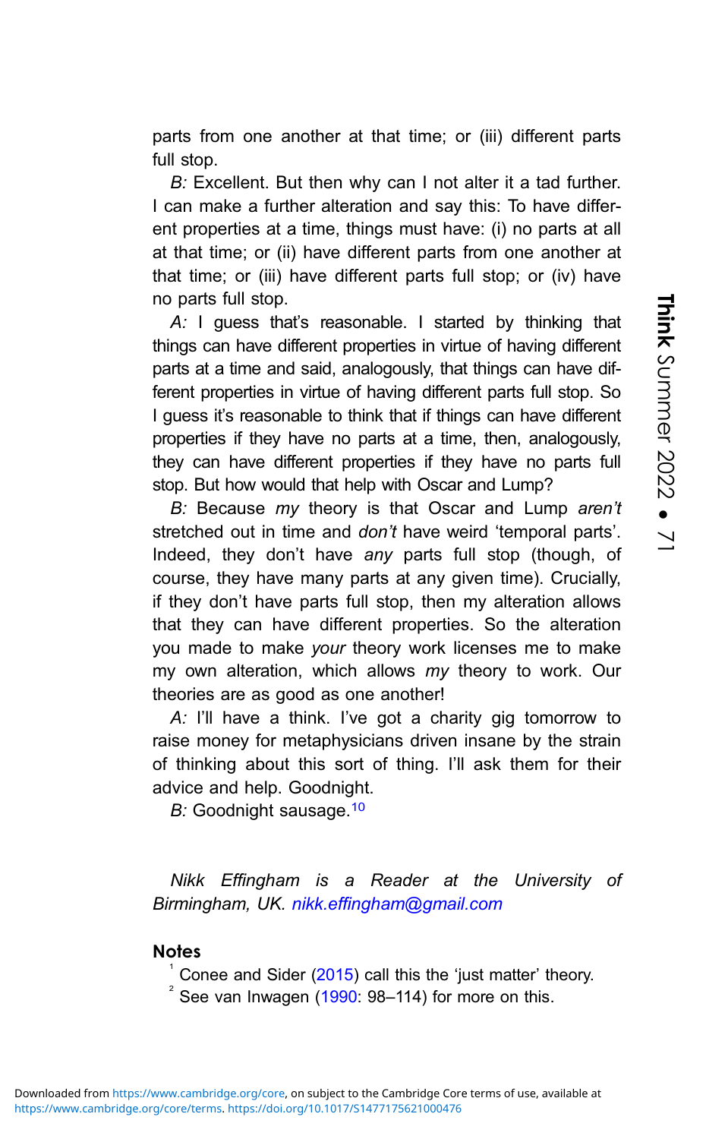<span id="page-15-0"></span>parts from one another at that time; or (iii) different parts full stop.

B: Excellent. But then why can I not alter it a tad further. I can make a further alteration and say this: To have different properties at a time, things must have: (i) no parts at all at that time; or (ii) have different parts from one another at that time; or (iii) have different parts full stop; or (iv) have no parts full stop.

A: I guess that's reasonable. I started by thinking that things can have different properties in virtue of having different parts at a time and said, analogously, that things can have different properties in virtue of having different parts full stop. So I guess it's reasonable to think that if things can have different properties if they have no parts at a time, then, analogously, they can have different properties if they have no parts full stop. But how would that help with Oscar and Lump?

B: Because my theory is that Oscar and Lump aren't stretched out in time and don't have weird 'temporal parts'. Indeed, they don't have any parts full stop (though, of course, they have many parts at any given time). Crucially, if they don't have parts full stop, then my alteration allows that they can have different properties. So the alteration you made to make your theory work licenses me to make my own alteration, which allows my theory to work. Our theories are as good as one another!

A: I'll have a think. I've got a charity gig tomorrow to raise money for metaphysicians driven insane by the strain of thinking about this sort of thing. I'll ask them for their advice and help. Goodnight.

B: Goodnight sausage.<sup>[10](#page-16-0)</sup>

Nikk Effingham is a Reader at the University of Birmingham, UK. [nikk.effingham@gmail.com](mailto:nikk.effingham@gmail.com)

## **Notes**

 $\frac{1}{1}$  Conee and Sider [\(2015](#page-16-0)) call this the 'just matter' theory.

 $2^{2}$  See van Inwagen [\(1990](#page-16-0): 98–114) for more on this.